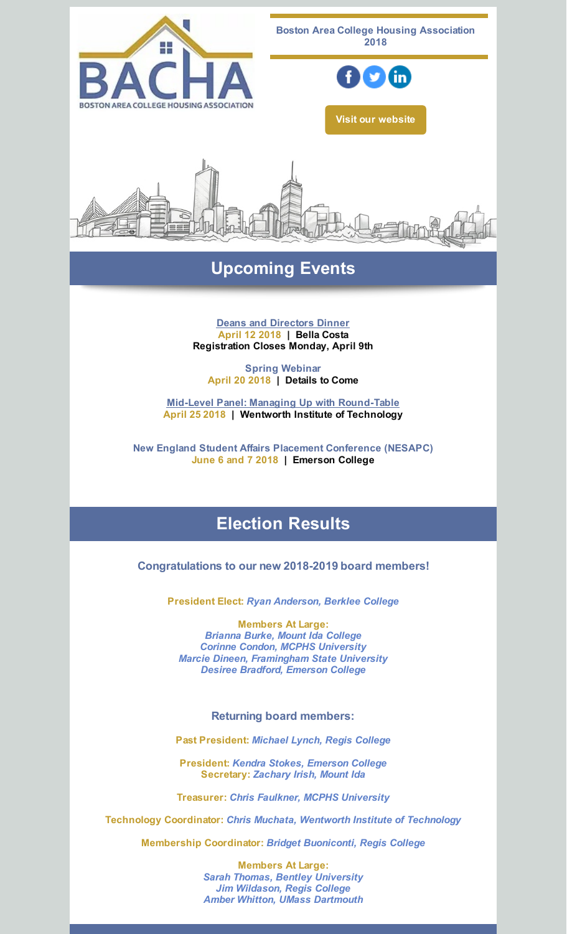

## **Upcoming Events**

**Deans and [Directors](https://events.r20.constantcontact.com/register/eventReg?oeidk=a07ef6t00hufdcd9fe9&oseq=&c=&ch=) Dinner April 12 2018 | Bella Costa Registration Closes Monday, April 9th**

**Spring Webinar April 20 2018 | Details to Come**

**Mid-Level Panel: Managing Up with [Round-Table](http://survey.constantcontact.com/survey/a07ef9k9dsrjfgx8td1/start) April 25 2018 | Wentworth Institute of Technology**

**New England Student Affairs Placement Conference (NESAPC) June 6 and 7 2018 | Emerson College**

# **Election Results**

**Congratulations to our new 2018-2019 board members!**

**President Elect:** *Ryan Anderson, Berklee College*

**Members At Large:** *Brianna Burke, Mount Ida College Corinne Condon, MCPHS University Marcie Dineen, Framingham State University Desiree Bradford, Emerson College*

**Returning board members:**

**Past President:** *Michael Lynch, Regis College*

**President:** *Kendra Stokes, Emerson College* **Secretary:** *Zachary Irish, Mount Ida*

**Treasurer:** *Chris Faulkner, MCPHS University*

**Technology Coordinator:** *Chris Muchata, Wentworth Institute of Technology*

**Membership Coordinator:** *Bridget Buoniconti, Regis College*

**Members At Large:** *Sarah Thomas, Bentley University Jim Wildason, Regis College Amber Whitton, UMass Dartmouth*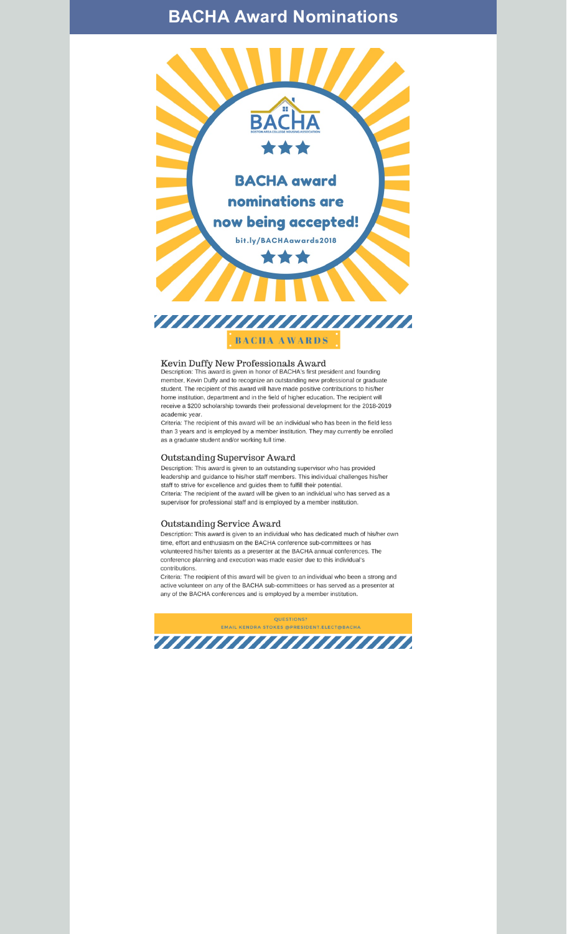## **BACHA Award Nominations**



**BACHA AWARDS** 

## Kevin Duffy New Professionals Award<br>Description: This award is given in honor of BACHA's first president and founding

member, Kevin Duffy and to recognize an outstanding new professional or graduate student. The recipient of this award will have made positive contributions to his/her home institution, department and in the field of higher education. The recipient will receive a \$200 scholarship towards their professional development for the 2018-2019 academic year.

Criteria: The recipient of this award will be an individual who has been in the field less than 3 years and is employed by a member institution. They may currently be enrolled as a graduate student and/or working full time.

#### Outstanding Supervisor Award

Description: This award is given to an outstanding supervisor who has provided leadership and guidance to his/her staff members. This individual challenges his/her staff to strive for excellence and guides them to fulfill their potential. Criteria: The recipient of the award will be given to an individual who has served as a supervisor for professional staff and is employed by a member institution.

#### Outstanding Service Award

Description: This award is given to an individual who has dedicated much of his/her own time, effort and enthusiasm on the BACHA conference sub-committees or has volunteered his/her talents as a presenter at the BACHA annual conferences. The conference planning and execution was made easier due to this individual's contributions.

Criteria: The recipient of this award will be given to an individual who been a strong and active volunteer on any of the BACHA sub-committees or has served as a presenter at any of the BACHA conferences and is employed by a member institution.

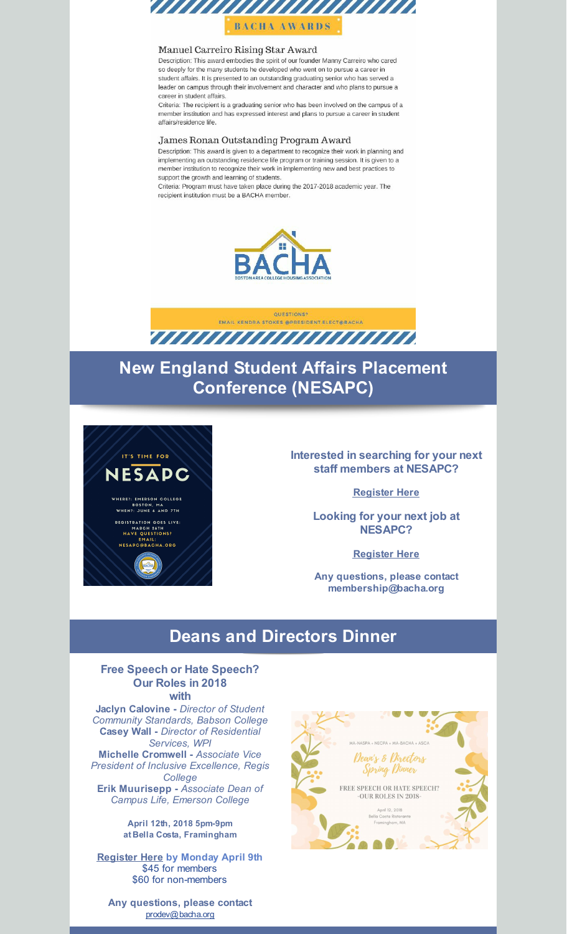

#### Manuel Carreiro Rising Star Award

Description: This award embodies the spirit of our founder Manny Carreiro who cared so deeply for the many students he developed who went on to pursue a career in student affairs. It is presented to an outstanding graduating senior who has served a leader on campus through their involvement and character and who plans to pursue a career in student affairs.

Criteria: The recipient is a graduating senior who has been involved on the campus of a member institution and has expressed interest and plans to pursue a career in student affairs/residence life.

#### James Ronan Outstanding Program Award

Description: This award is given to a department to recognize their work in planning and implementing an outstanding residence life program or training session. It is given to a member institution to recognize their work in implementing new and best practices to support the growth and learning of students.

Criteria: Program must have taken place during the 2017-2018 academic year. The recipient institution must be a BACHA member.





# **New England Student Affairs Placement Conference (NESAPC)**



### **Interested in searching for your next staff members at NESAPC?**

**[Register](http://events.constantcontact.com/register/event?llr=vserd4zab&oeidk=a07ef8sj8cc17dc9909) Here**

**Looking for your next job at NESAPC?**

**[Register](http://events.constantcontact.com/register/event?llr=vserd4zab&oeidk=a07ef6tl8g23eb9c2ce) Here**

**Any questions, please contact membership@bacha.org**

### **Deans and Directors Dinner**

### **Free Speech or Hate Speech? Our Roles in 2018 with**

**Jaclyn Calovine -** *Director of Student Community Standards, Babson College* **Casey Wall -** *Director of Residential Services, WPI* **Michelle Cromwell -** *Associate Vice President of Inclusive Excellence, Regis College* **Erik Muurisepp -** *Associate Dean of*

*Campus Life, Emerson College*

**April 12th, 2018 5pm-9pm at Bella Costa, Framingham**

**[Register](https://events.r20.constantcontact.com/register/eventReg?oeidk=a07ef6t00hufdcd9fe9&oseq=&c=&ch=) Here by Monday April 9th** \$45 for members \$60 for non-members

MA-NASPA + NECPA + MA-BACHA + ASCA Dear's & Directors Spring Dinner FREE SPEECH OR HATE SPEECH? -OUR ROLES IN 2018-April 12, 2018<br>Bella Costa Ristor Framingham, MA

**Any questions, please contact** [prodev@bacha.org](mailto:prodev@bacha.org)